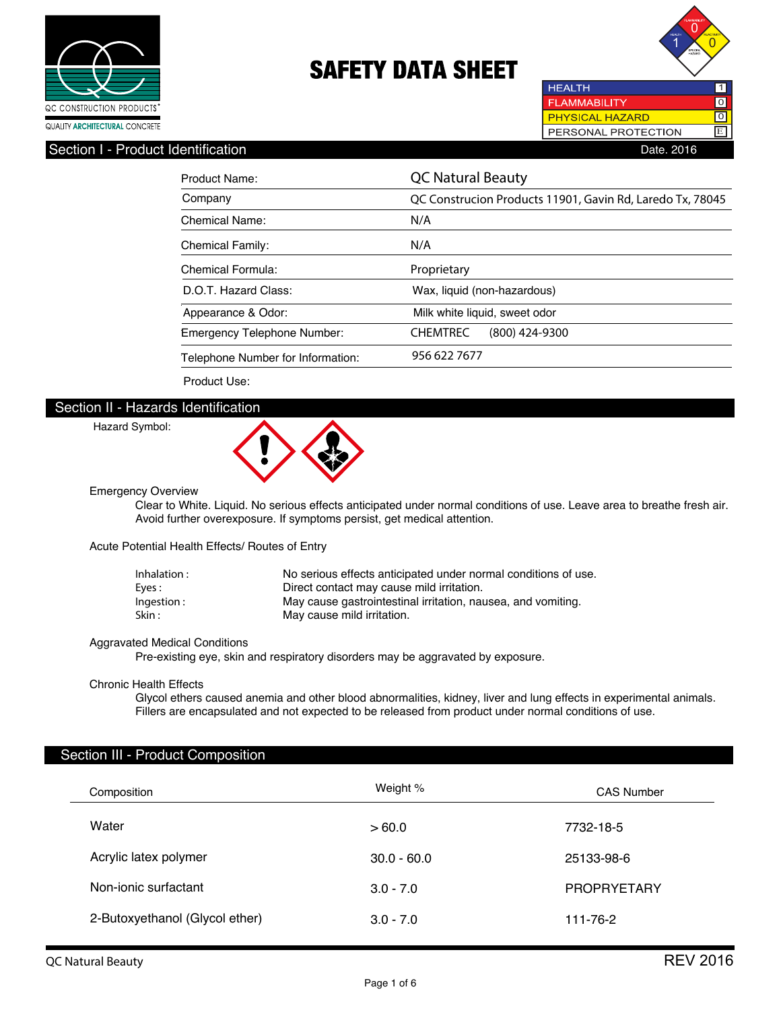



## Section I - Product Identification **Date. 2016** Date. 2016

| Product Name:                     | <b>QC Natural Beauty</b>                                  |
|-----------------------------------|-----------------------------------------------------------|
| Company                           | QC Construcion Products 11901, Gavin Rd, Laredo Tx, 78045 |
| Chemical Name:                    | N/A                                                       |
| <b>Chemical Family:</b>           | N/A                                                       |
| Chemical Formula:                 | Proprietary                                               |
| D.O.T. Hazard Class:              | Wax, liquid (non-hazardous)                               |
| Appearance & Odor:                | Milk white liquid, sweet odor                             |
| Emergency Telephone Number:       | <b>CHEMTREC</b><br>$(800)$ 424-9300                       |
| Telephone Number for Information: | 956 622 7677                                              |

Product Use:

### Section II - Hazards Identification

#### Hazard Symbol:



Emergency Overview

 Clear to White. Liquid. No serious effects anticipated under normal conditions of use. Leave area to breathe fresh air. Avoid further overexposure. If symptoms persist, get medical attention.

Acute Potential Health Effects/ Routes of Entry

| Inhalation : | No serious effects anticipated under normal conditions of use. |
|--------------|----------------------------------------------------------------|
| Eves :       | Direct contact may cause mild irritation.                      |
| Ingestion:   | May cause gastrointestinal irritation, nausea, and vomiting.   |
| Skin :       | May cause mild irritation.                                     |

#### Aggravated Medical Conditions

Pre-existing eye, skin and respiratory disorders may be aggravated by exposure.

#### Chronic Health Effects

 Glycol ethers caused anemia and other blood abnormalities, kidney, liver and lung effects in experimental animals. Fillers are encapsulated and not expected to be released from product under normal conditions of use.

#### Section III - Product Composition

| Composition                    | Weight %      | <b>CAS Number</b>  |
|--------------------------------|---------------|--------------------|
| Water                          | >60.0         | 7732-18-5          |
| Acrylic latex polymer          | $30.0 - 60.0$ | 25133-98-6         |
| Non-ionic surfactant           | $3.0 - 7.0$   | <b>PROPRYETARY</b> |
| 2-Butoxyethanol (Glycol ether) | $3.0 - 7.0$   | 111-76-2           |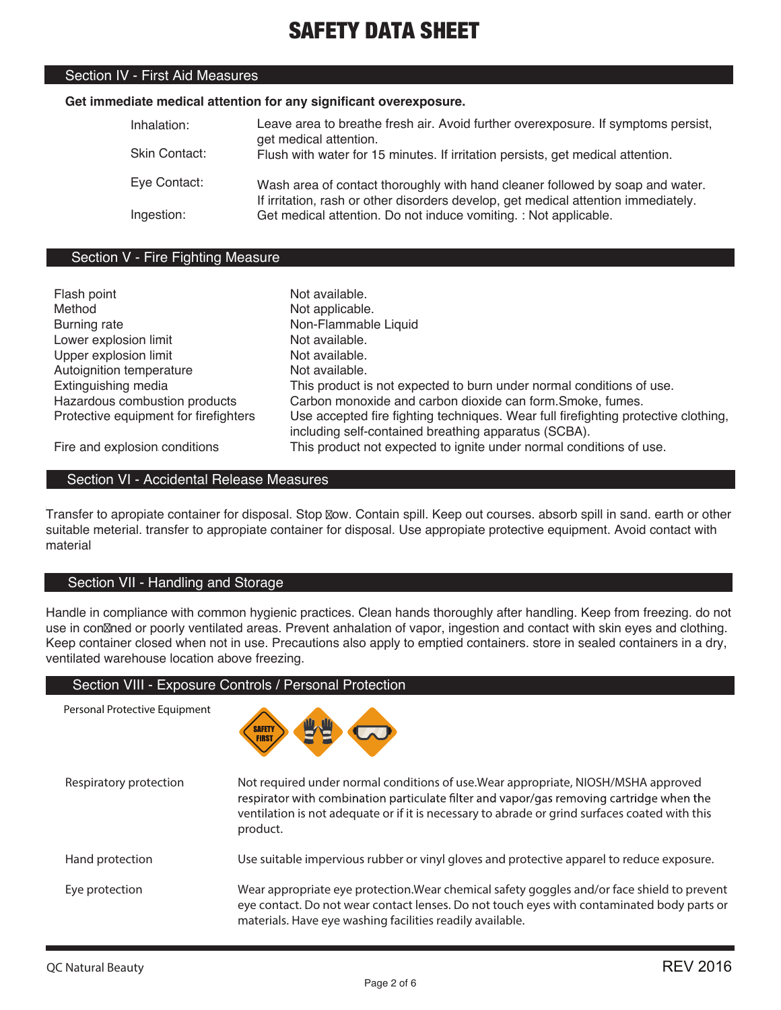### Section IV - First Aid Measures

#### **Get immediate medical attention for any significant overexposure.**

| Inhalation:<br>Skin Contact: | Leave area to breathe fresh air. Avoid further overexposure. If symptoms persist,<br>get medical attention.<br>Flush with water for 15 minutes. If irritation persists, get medical attention. |
|------------------------------|------------------------------------------------------------------------------------------------------------------------------------------------------------------------------------------------|
| Eye Contact:                 | Wash area of contact thoroughly with hand cleaner followed by soap and water.<br>If irritation, rash or other disorders develop, get medical attention immediately.                            |
| Ingestion:                   | Get medical attention. Do not induce vomiting. : Not applicable.                                                                                                                               |

### Section V - Fire Fighting Measure

| Flash point                           | Not available.                                                                     |
|---------------------------------------|------------------------------------------------------------------------------------|
| Method                                | Not applicable.                                                                    |
| <b>Burning rate</b>                   | Non-Flammable Liquid                                                               |
| Lower explosion limit                 | Not available.                                                                     |
| Upper explosion limit                 | Not available.                                                                     |
| Autoignition temperature              | Not available.                                                                     |
| Extinguishing media                   | This product is not expected to burn under normal conditions of use.               |
| Hazardous combustion products         | Carbon monoxide and carbon dioxide can form. Smoke, fumes.                         |
| Protective equipment for firefighters | Use accepted fire fighting techniques. Wear full firefighting protective clothing, |
|                                       | including self-contained breathing apparatus (SCBA).                               |
| Fire and explosion conditions         | This product not expected to ignite under normal conditions of use.                |

## Section VI - Accidental Release Measures

Transfer to apropiate container for disposal. Stop Now. Contain spill. Keep out courses. absorb spill in sand. earth or other suitable meterial. transfer to appropiate container for disposal. Use appropiate protective equipment. Avoid contact with material

## Section VII - Handling and Storage

Handle in compliance with common hygienic practices. Clean hands thoroughly after handling. Keep from freezing. do not use in con $\mathbb Z$ ned or poorly ventilated areas. Prevent anhalation of vapor, ingestion and contact with skin eyes and clothing. Keep container closed when not in use. Precautions also apply to emptied containers. store in sealed containers in a dry, ventilated warehouse location above freezing.

### Section VIII - Exposure Controls / Personal Protection

Personal Protective Equipment



| Respiratory protection | Not required under normal conditions of use. Wear appropriate, NIOSH/MSHA approved<br>respirator with combination particulate filter and vapor/gas removing cartridge when the<br>ventilation is not adequate or if it is necessary to abrade or grind surfaces coated with this<br>product. |
|------------------------|----------------------------------------------------------------------------------------------------------------------------------------------------------------------------------------------------------------------------------------------------------------------------------------------|
| Hand protection        | Use suitable impervious rubber or vinyl gloves and protective apparel to reduce exposure.                                                                                                                                                                                                    |
| Eye protection         | Wear appropriate eye protection. Wear chemical safety goggles and/or face shield to prevent<br>eye contact. Do not wear contact lenses. Do not touch eyes with contaminated body parts or<br>materials. Have eye washing facilities readily available.                                       |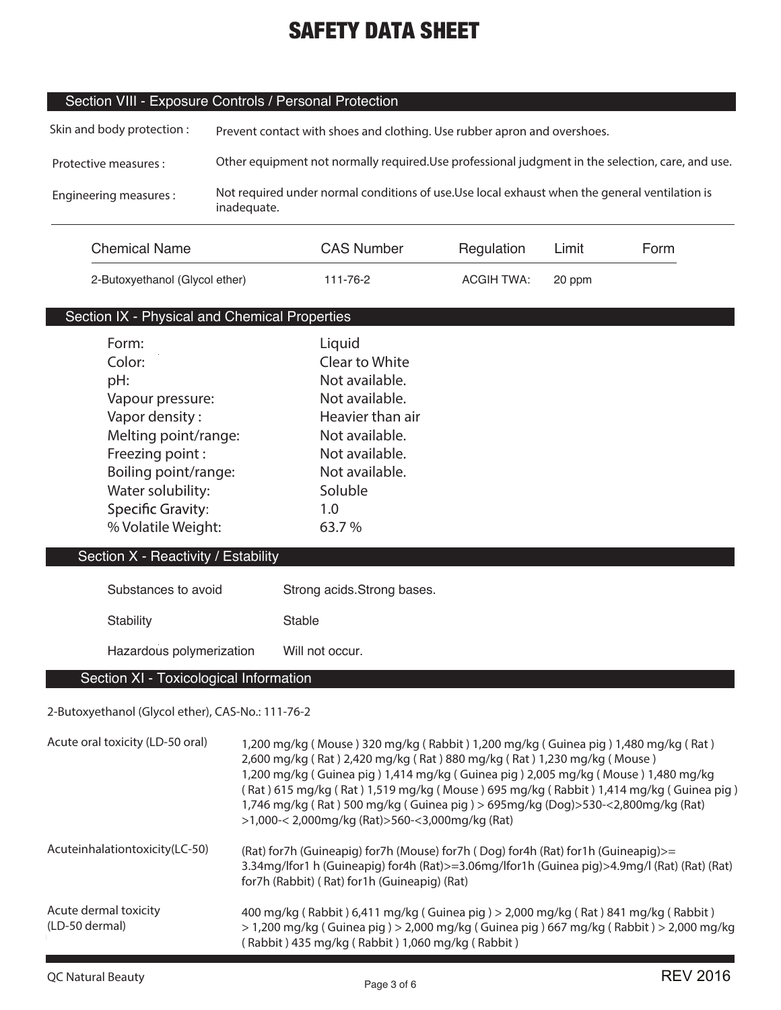## Section VIII - Exposure Controls / Personal Protection

| Skin and body protection: | Prevent contact with shoes and clothing. Use rubber apron and overshoes.                                      |
|---------------------------|---------------------------------------------------------------------------------------------------------------|
| Protective measures :     | Other equipment not normally required. Use professional judgment in the selection, care, and use.             |
| Engineering measures:     | Not required under normal conditions of use. Use local exhaust when the general ventilation is<br>inadequate. |

| <b>Chemical Name</b>           | <b>CAS Number</b> | Regulation | Limit  | Form |
|--------------------------------|-------------------|------------|--------|------|
| 2-Butoxyethanol (Glycol ether) | 111-76-2          | ACGIH TWA: | 20 ppm |      |

## Section IX - Physical and Chemical Properties

| Form:                               | Liquid           |
|-------------------------------------|------------------|
| Color:                              | Clear to White   |
| pH:                                 | Not available.   |
| Vapour pressure:                    | Not available.   |
| Vapor density:                      | Heavier than air |
| Melting point/range:                | Not available.   |
| Freezing point:                     | Not available.   |
| Boiling point/range:                | Not available.   |
| Water solubility:                   | Soluble          |
| <b>Specific Gravity:</b>            | 1.0              |
| % Volatile Weight:                  | 63.7%            |
| Section X - Reactivity / Estability |                  |
|                                     |                  |

## Substances to avoid **Stability** Strong acids.Strong bases. Stable

#### Hazardous polymerization Will not occur.

## Section XI - Toxicological Information

## **2-Butoxyethanol (Glycol ether), CAS-No.: 111-76-2**

| Acute oral toxicity (LD-50 oral)        | 1,200 mg/kg (Mouse) 320 mg/kg (Rabbit) 1,200 mg/kg (Guinea pig) 1,480 mg/kg (Rat)<br>2,600 mg/kg (Rat) 2,420 mg/kg (Rat) 880 mg/kg (Rat) 1,230 mg/kg (Mouse)<br>1,200 mg/kg (Guinea pig) 1,414 mg/kg (Guinea pig) 2,005 mg/kg (Mouse) 1,480 mg/kg<br>(Rat) 615 mg/kg (Rat) 1,519 mg/kg (Mouse) 695 mg/kg (Rabbit) 1,414 mg/kg (Guinea pig)<br>1,746 mg/kg (Rat) 500 mg/kg (Guinea pig) > 695mg/kg (Dog)>530-<2,800mg/kg (Rat)<br>>1,000-< 2,000mg/kg (Rat)>560-<3,000mg/kg (Rat) |
|-----------------------------------------|----------------------------------------------------------------------------------------------------------------------------------------------------------------------------------------------------------------------------------------------------------------------------------------------------------------------------------------------------------------------------------------------------------------------------------------------------------------------------------|
| Acuteinhalationtoxicity(LC-50)          | (Rat) for7h (Guineapig) for7h (Mouse) for7h (Dog) for4h (Rat) for1h (Guineapig)>=<br>3.34mg/lfor1 h (Guineapig) for4h (Rat)>=3.06mg/lfor1h (Guinea pig)>4.9mg/l (Rat) (Rat) (Rat)<br>for7h (Rabbit) (Rat) for1h (Guineapig) (Rat)                                                                                                                                                                                                                                                |
| Acute dermal toxicity<br>(LD-50 dermal) | 400 mg/kg (Rabbit) 6,411 mg/kg (Guinea pig) > 2,000 mg/kg (Rat) 841 mg/kg (Rabbit)<br>$>$ 1,200 mg/kg (Guinea pig) $>$ 2,000 mg/kg (Guinea pig) 667 mg/kg (Rabbit) $>$ 2,000 mg/kg<br>(Rabbit) 435 mg/kg (Rabbit) 1,060 mg/kg (Rabbit)                                                                                                                                                                                                                                           |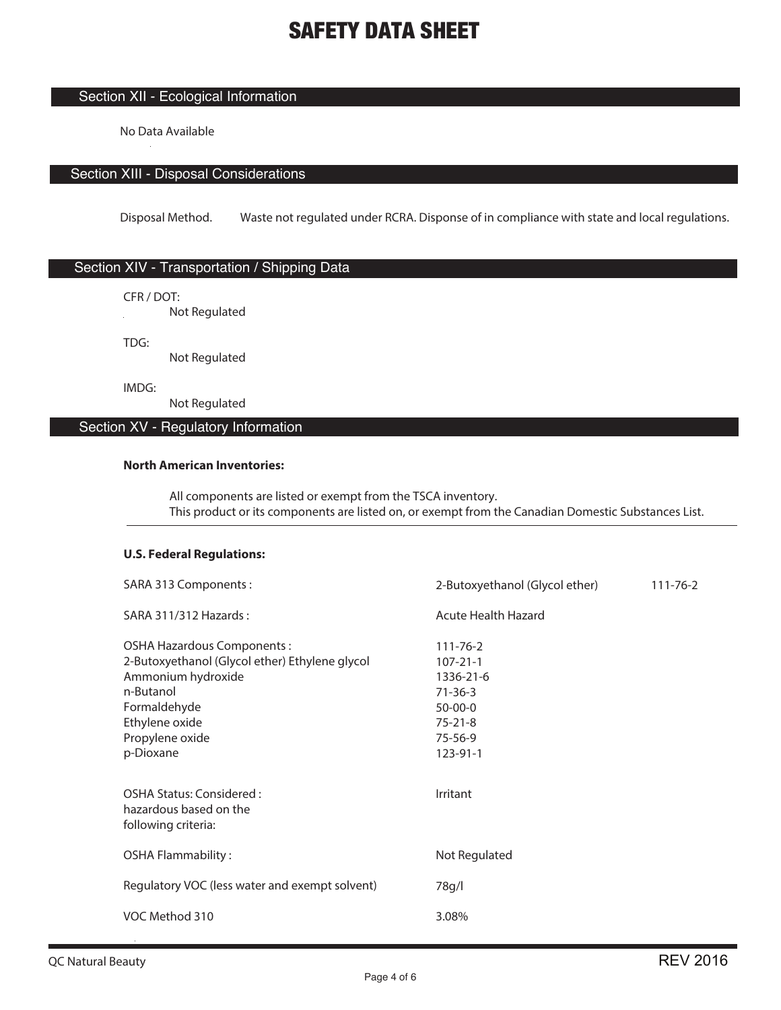## Section XII - Ecological Information

No Data Available

## Section XIII - Disposal Considerations

Disposal Method. Waste not regulated under RCRA. Disponse of in compliance with state and local regulations.

## Section XIV - Transportation / Shipping Data

CFR / DOT:

**Not Regulated** 

TDG:

Not Regulated

IMDG:

Not Regulated

## Section XV - Regulatory Information

#### **North American Inventories:**

 All components are listed or exempt from the TSCA inventory. This product or its components are listed on, or exempt from the Canadian Domestic Substances List.

## **U.S. Federal Regulations:**

| SARA 313 Components:                                                                                                                                                                     | 2-Butoxyethanol (Glycol ether)                                                                                          | 111-76-2 |
|------------------------------------------------------------------------------------------------------------------------------------------------------------------------------------------|-------------------------------------------------------------------------------------------------------------------------|----------|
| SARA 311/312 Hazards:                                                                                                                                                                    | Acute Health Hazard                                                                                                     |          |
| <b>OSHA Hazardous Components:</b><br>2-Butoxyethanol (Glycol ether) Ethylene glycol<br>Ammonium hydroxide<br>n-Butanol<br>Formaldehyde<br>Ethylene oxide<br>Propylene oxide<br>p-Dioxane | $111 - 76 - 2$<br>$107 - 21 - 1$<br>1336-21-6<br>$71 - 36 - 3$<br>$50 - 00 - 0$<br>$75 - 21 - 8$<br>75-56-9<br>123-91-1 |          |
| OSHA Status: Considered:<br>hazardous based on the<br>following criteria:                                                                                                                | Irritant                                                                                                                |          |
| <b>OSHA Flammability:</b>                                                                                                                                                                | Not Regulated                                                                                                           |          |
| Regulatory VOC (less water and exempt solvent)                                                                                                                                           | 78g/l                                                                                                                   |          |
| VOC Method 310                                                                                                                                                                           | 3.08%                                                                                                                   |          |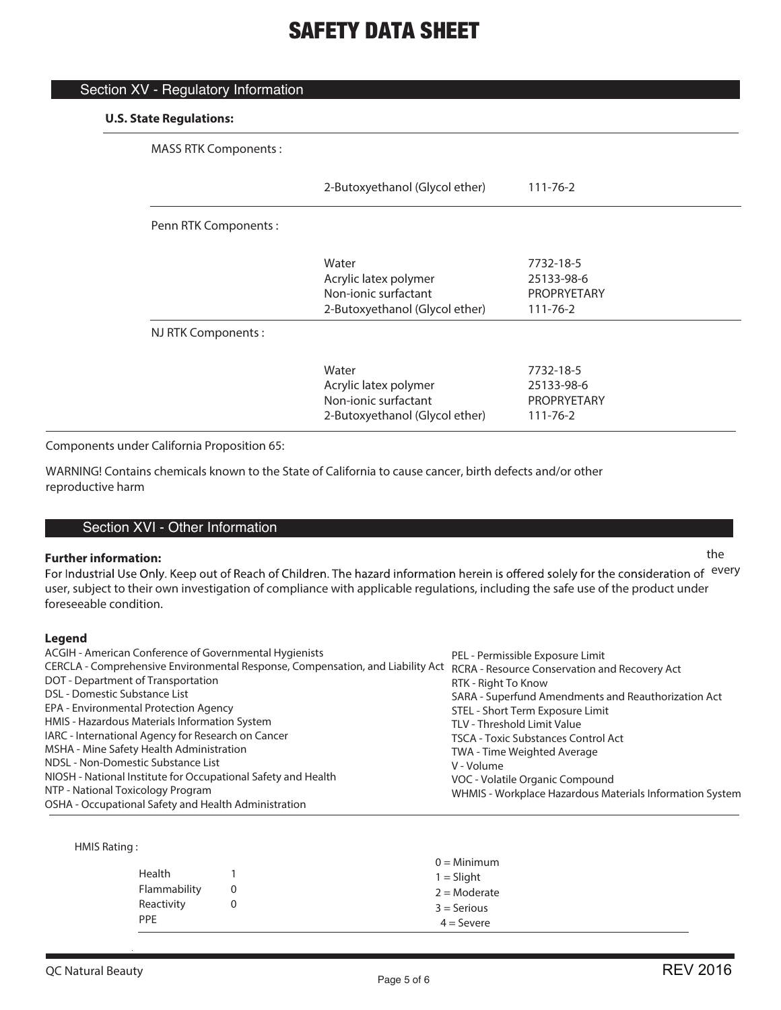| <b>MASS RTK Components:</b> |                                |                    |
|-----------------------------|--------------------------------|--------------------|
|                             | 2-Butoxyethanol (Glycol ether) | $111 - 76 - 2$     |
| Penn RTK Components:        |                                |                    |
|                             | Water                          | 7732-18-5          |
|                             | Acrylic latex polymer          | 25133-98-6         |
|                             | Non-jonic surfactant           | <b>PROPRYETARY</b> |
|                             | 2-Butoxyethanol (Glycol ether) | $111 - 76 - 2$     |
| NJ RTK Components:          |                                |                    |
|                             | Water                          | 7732-18-5          |
|                             | Acrylic latex polymer          | 25133-98-6         |
|                             | Non-jonic surfactant           | <b>PROPRYETARY</b> |
|                             | 2-Butoxyethanol (Glycol ether) | $111 - 76 - 2$     |

Components under California Proposition 65:

Section XV - Regulatory Information

WARNING! Contains chemicals known to the State of California to cause cancer, birth defects and/or other reproductive harm

## Section XVI - Other Information

## **Further information:** the the state of the state of the state of the state of the state of the state of the state of the state of the state of the state of the state of the state of the state of the state of the state of

user, subject to their own investigation of compliance with applicable regulations, including the safe use of the product under For Industrial Use Only. Keep out of Reach of Children. The hazard information herein is offered solely for the consideration of every foreseeable condition.

### **Legend**

| ACGIH - American Conference of Governmental Hygienists                                                                       | PEL - Permissible Exposure Limit                         |
|------------------------------------------------------------------------------------------------------------------------------|----------------------------------------------------------|
| CERCLA - Comprehensive Environmental Response, Compensation, and Liability Act RCRA - Resource Conservation and Recovery Act |                                                          |
| DOT - Department of Transportation                                                                                           | RTK - Right To Know                                      |
| DSL - Domestic Substance List                                                                                                | SARA - Superfund Amendments and Reauthorization Act      |
| EPA - Environmental Protection Agency                                                                                        | STEL - Short Term Exposure Limit                         |
| HMIS - Hazardous Materials Information System                                                                                | TLV - Threshold Limit Value                              |
| IARC - International Agency for Research on Cancer                                                                           | <b>TSCA - Toxic Substances Control Act</b>               |
| MSHA - Mine Safety Health Administration                                                                                     | TWA - Time Weighted Average                              |
| NDSL - Non-Domestic Substance List                                                                                           | V - Volume                                               |
| NIOSH - National Institute for Occupational Safety and Health                                                                | VOC - Volatile Organic Compound                          |
| NTP - National Toxicology Program                                                                                            | WHMIS - Workplace Hazardous Materials Information System |
| OSHA - Occupational Safety and Health Administration                                                                         |                                                          |

HMIS Rating :

|              |   | $0 =$ Minimum  |
|--------------|---|----------------|
| Health       |   | $1 =$ Slight   |
| Flammability | 0 | $2 =$ Moderate |
| Reactivity   |   | $3 =$ Serious  |
| <b>PPE</b>   |   | $4 =$ Severe   |